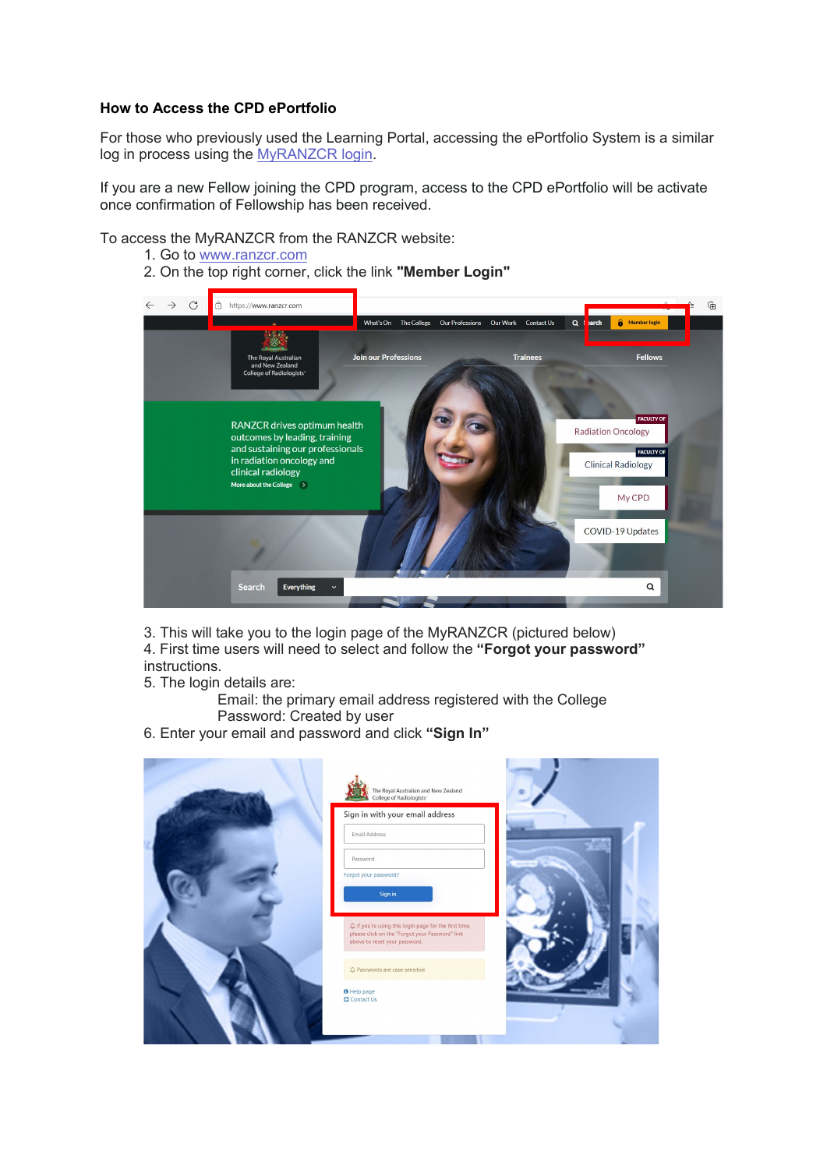## **How to Access the CPD ePortfolio**

For those who previously used the Learning Portal, accessing the ePortfolio System is a similar log in process using the [MyRANZCR login.](https://www.myranzcr.com/)

If you are a new Fellow joining the CPD program, access to the CPD ePortfolio will be activate once confirmation of Fellowship has been received.

To access the MyRANZCR from the RANZCR website:

- 1. Go to [www.ranzcr.com](http://www.ranzcr.com/)
- 2. On the top right corner, click the link **"Member Login"**



3. This will take you to the login page of the MyRANZCR (pictured below)

4. First time users will need to select and follow the **"Forgot your password"** instructions.

- 5. The login details are:
	- Email: the primary email address registered with the College Password: Created by user
- 6. Enter your email and password and click **"Sign In"**